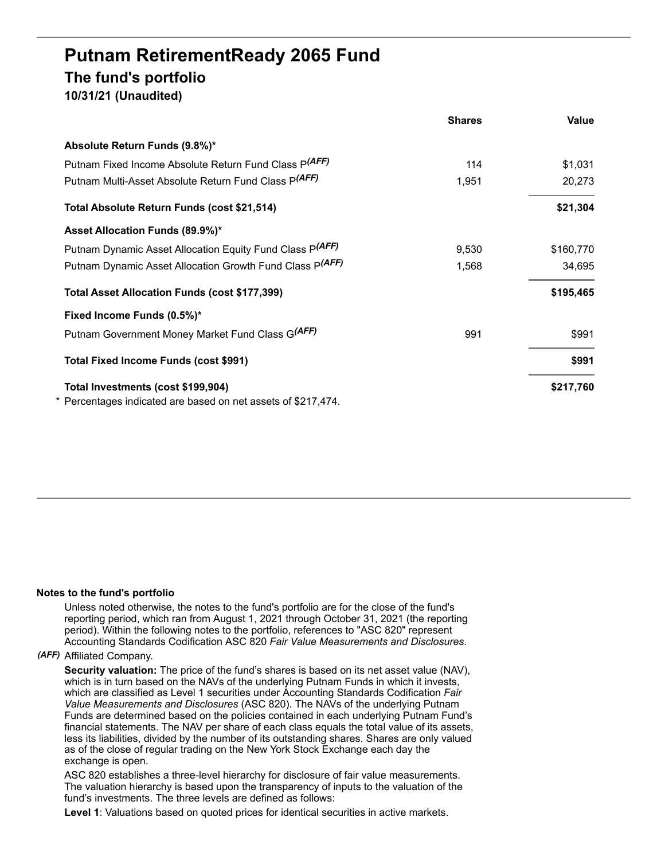# **Putnam RetirementReady 2065 Fund The fund's portfolio 10/31/21 (Unaudited)**

|                                                                                                     | <b>Shares</b> | Value     |
|-----------------------------------------------------------------------------------------------------|---------------|-----------|
| Absolute Return Funds (9.8%)*                                                                       |               |           |
| Putnam Fixed Income Absolute Return Fund Class P(AFF)                                               | 114           | \$1,031   |
| Putnam Multi-Asset Absolute Return Fund Class P(AFF)                                                | 1,951         | 20,273    |
| Total Absolute Return Funds (cost \$21,514)                                                         |               | \$21,304  |
| Asset Allocation Funds (89.9%)*                                                                     |               |           |
| Putnam Dynamic Asset Allocation Equity Fund Class P(AFF)                                            | 9,530         | \$160,770 |
| Putnam Dynamic Asset Allocation Growth Fund Class P(AFF)                                            | 1,568         | 34,695    |
| Total Asset Allocation Funds (cost \$177,399)                                                       |               | \$195,465 |
| Fixed Income Funds (0.5%)*                                                                          |               |           |
| Putnam Government Money Market Fund Class G(AFF)                                                    | 991           | \$991     |
| Total Fixed Income Funds (cost \$991)                                                               |               | \$991     |
| Total Investments (cost \$199,904)<br>* Percentages indicated are based on net assets of \$217,474. |               | \$217,760 |

#### **Notes to the fund's portfolio**

Unless noted otherwise, the notes to the fund's portfolio are for the close of the fund's reporting period, which ran from August 1, 2021 through October 31, 2021 (the reporting period). Within the following notes to the portfolio, references to "ASC 820" represent Accounting Standards Codification ASC 820 *Fair Value Measurements and Disclosures*.

#### *(AFF)* Affiliated Company.

**Security valuation:** The price of the fund's shares is based on its net asset value (NAV), which is in turn based on the NAVs of the underlying Putnam Funds in which it invests, which are classified as Level 1 securities under Accounting Standards Codification *Fair Value Measurements and Disclosures* (ASC 820). The NAVs of the underlying Putnam Funds are determined based on the policies contained in each underlying Putnam Fund's financial statements. The NAV per share of each class equals the total value of its assets, less its liabilities, divided by the number of its outstanding shares. Shares are only valued as of the close of regular trading on the New York Stock Exchange each day the exchange is open.

ASC 820 establishes a three-level hierarchy for disclosure of fair value measurements. The valuation hierarchy is based upon the transparency of inputs to the valuation of the fund's investments. The three levels are defined as follows:

**Level 1**: Valuations based on quoted prices for identical securities in active markets.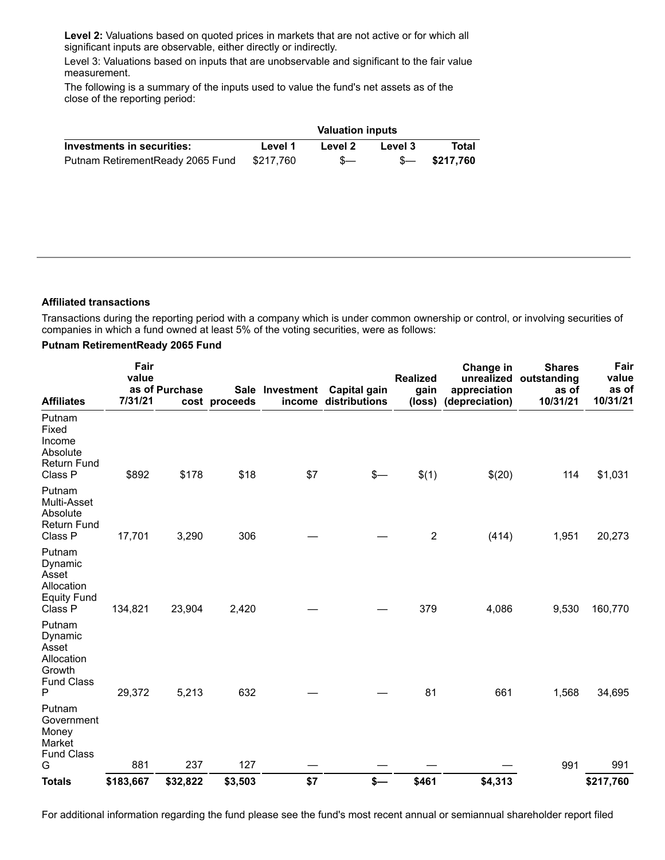**Level 2:** Valuations based on quoted prices in markets that are not active or for which all significant inputs are observable, either directly or indirectly.

Level 3: Valuations based on inputs that are unobservable and significant to the fair value measurement.

The following is a summary of the inputs used to value the fund's net assets as of the close of the reporting period:

|                                  | <b>Valuation inputs</b> |         |         |                  |
|----------------------------------|-------------------------|---------|---------|------------------|
| Investments in securities:       | Level 1                 | Level 2 | Level 3 | Total            |
| Putnam RetirementReady 2065 Fund | \$217.760               | $S-$    |         | $$-.5$ \$217.760 |

## **Affiliated transactions**

Transactions during the reporting period with a company which is under common ownership or control, or involving securities of companies in which a fund owned at least 5% of the voting securities, were as follows:

### **Putnam RetirementReady 2065 Fund**

| <b>Affiliates</b>                                                            | Fair<br>value<br>7/31/21 | as of Purchase | cost proceeds | Sale Investment | <b>Capital gain</b><br>income distributions | <b>Realized</b><br>gain<br>(loss) | Change in<br>appreciation<br>(depreciation) | <b>Shares</b><br>unrealized outstanding<br>as of<br>10/31/21 | Fair<br>value<br>as of<br>10/31/21 |
|------------------------------------------------------------------------------|--------------------------|----------------|---------------|-----------------|---------------------------------------------|-----------------------------------|---------------------------------------------|--------------------------------------------------------------|------------------------------------|
| Putnam<br>Fixed<br>Income<br>Absolute<br><b>Return Fund</b><br>Class P       | \$892                    | \$178          | \$18          | \$7             | \$—                                         | \$(1)                             | \$(20)                                      | 114                                                          | \$1,031                            |
| Putnam<br>Multi-Asset<br>Absolute<br><b>Return Fund</b><br>Class P           | 17,701                   | 3,290          | 306           |                 |                                             | $\overline{\mathbf{c}}$           | (414)                                       | 1,951                                                        | 20,273                             |
| Putnam<br>Dynamic<br>Asset<br>Allocation<br><b>Equity Fund</b><br>Class P    | 134,821                  | 23,904         | 2,420         |                 |                                             | 379                               | 4,086                                       | 9,530                                                        | 160,770                            |
| Putnam<br>Dynamic<br>Asset<br>Allocation<br>Growth<br><b>Fund Class</b><br>Ρ | 29,372                   | 5,213          | 632           |                 |                                             | 81                                | 661                                         | 1,568                                                        | 34,695                             |
| Putnam<br>Government<br>Money<br>Market<br><b>Fund Class</b><br>G            | 881                      | 237            | 127           |                 |                                             |                                   |                                             | 991                                                          | 991                                |
| <b>Totals</b>                                                                | \$183,667                | \$32,822       | \$3,503       | \$7             | \$—                                         | \$461                             | \$4,313                                     |                                                              | \$217,760                          |

For additional information regarding the fund please see the fund's most recent annual or semiannual shareholder report filed